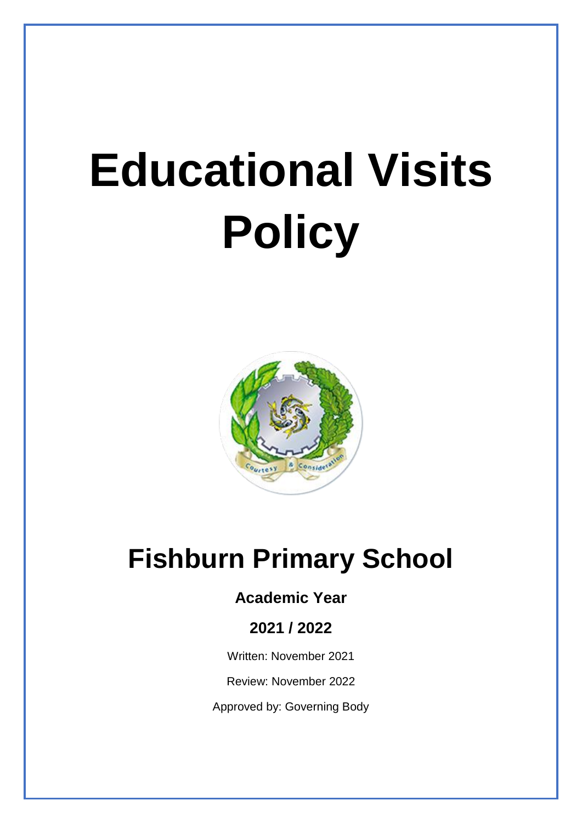# **Educational Visits Policy**



# **Fishburn Primary School**

## **Academic Year**

### **2021 / 2022**

Written: November 2021

Review: November 2022

Approved by: Governing Body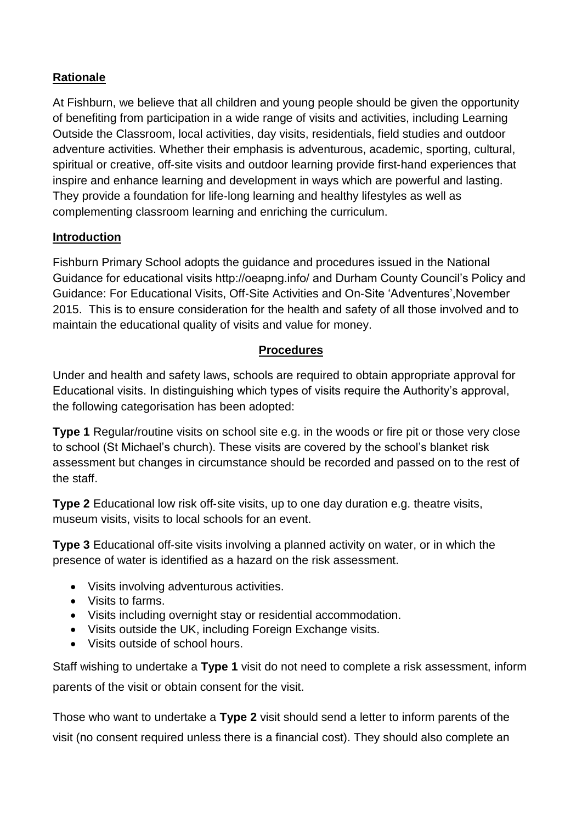#### **Rationale**

At Fishburn, we believe that all children and young people should be given the opportunity of benefiting from participation in a wide range of visits and activities, including Learning Outside the Classroom, local activities, day visits, residentials, field studies and outdoor adventure activities. Whether their emphasis is adventurous, academic, sporting, cultural, spiritual or creative, off-site visits and outdoor learning provide first-hand experiences that inspire and enhance learning and development in ways which are powerful and lasting. They provide a foundation for life‐long learning and healthy lifestyles as well as complementing classroom learning and enriching the curriculum.

#### **Introduction**

Fishburn Primary School adopts the guidance and procedures issued in the National Guidance for educational visits http://oeapng.info/ and Durham County Council's Policy and Guidance: For Educational Visits, Off‐Site Activities and On‐Site 'Adventures',November 2015. This is to ensure consideration for the health and safety of all those involved and to maintain the educational quality of visits and value for money.

#### **Procedures**

Under and health and safety laws, schools are required to obtain appropriate approval for Educational visits. In distinguishing which types of visits require the Authority's approval, the following categorisation has been adopted:

**Type 1** Regular/routine visits on school site e.g. in the woods or fire pit or those very close to school (St Michael's church). These visits are covered by the school's blanket risk assessment but changes in circumstance should be recorded and passed on to the rest of the staff.

**Type 2** Educational low risk off-site visits, up to one day duration e.g. theatre visits, museum visits, visits to local schools for an event.

**Type 3** Educational off‐site visits involving a planned activity on water, or in which the presence of water is identified as a hazard on the risk assessment.

- Visits involving adventurous activities.
- Visits to farms.
- Visits including overnight stay or residential accommodation.
- Visits outside the UK, including Foreign Exchange visits.
- Visits outside of school hours.

Staff wishing to undertake a **Type 1** visit do not need to complete a risk assessment, inform parents of the visit or obtain consent for the visit.

Those who want to undertake a **Type 2** visit should send a letter to inform parents of the visit (no consent required unless there is a financial cost). They should also complete an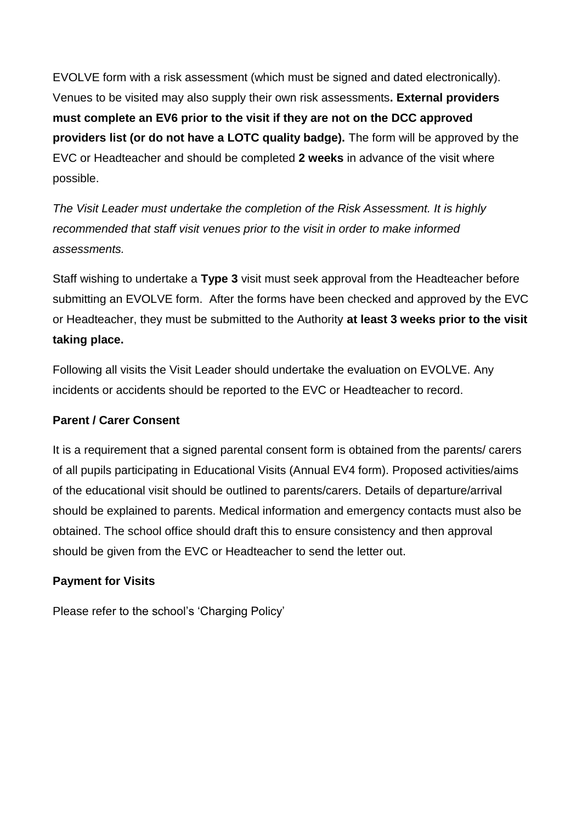EVOLVE form with a risk assessment (which must be signed and dated electronically). Venues to be visited may also supply their own risk assessments**. External providers must complete an EV6 prior to the visit if they are not on the DCC approved providers list (or do not have a LOTC quality badge).** The form will be approved by the EVC or Headteacher and should be completed **2 weeks** in advance of the visit where possible.

*The Visit Leader must undertake the completion of the Risk Assessment. It is highly recommended that staff visit venues prior to the visit in order to make informed assessments.* 

Staff wishing to undertake a **Type 3** visit must seek approval from the Headteacher before submitting an EVOLVE form. After the forms have been checked and approved by the EVC or Headteacher, they must be submitted to the Authority **at least 3 weeks prior to the visit taking place.**

Following all visits the Visit Leader should undertake the evaluation on EVOLVE. Any incidents or accidents should be reported to the EVC or Headteacher to record.

#### **Parent / Carer Consent**

It is a requirement that a signed parental consent form is obtained from the parents/ carers of all pupils participating in Educational Visits (Annual EV4 form). Proposed activities/aims of the educational visit should be outlined to parents/carers. Details of departure/arrival should be explained to parents. Medical information and emergency contacts must also be obtained. The school office should draft this to ensure consistency and then approval should be given from the EVC or Headteacher to send the letter out.

#### **Payment for Visits**

Please refer to the school's 'Charging Policy'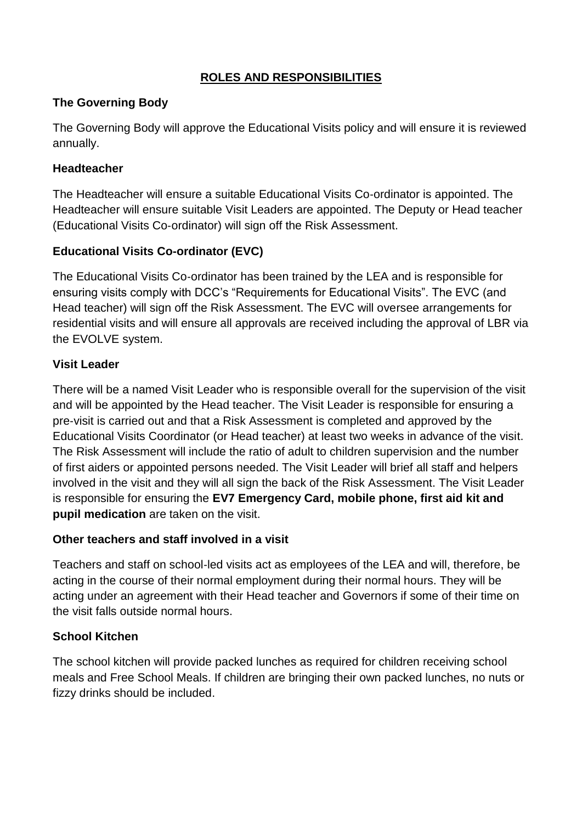#### **ROLES AND RESPONSIBILITIES**

#### **The Governing Body**

The Governing Body will approve the Educational Visits policy and will ensure it is reviewed annually.

#### **Headteacher**

The Headteacher will ensure a suitable Educational Visits Co‐ordinator is appointed. The Headteacher will ensure suitable Visit Leaders are appointed. The Deputy or Head teacher (Educational Visits Co‐ordinator) will sign off the Risk Assessment.

#### **Educational Visits Co**‐**ordinator (EVC)**

The Educational Visits Co‐ordinator has been trained by the LEA and is responsible for ensuring visits comply with DCC's "Requirements for Educational Visits". The EVC (and Head teacher) will sign off the Risk Assessment. The EVC will oversee arrangements for residential visits and will ensure all approvals are received including the approval of LBR via the EVOLVE system.

#### **Visit Leader**

There will be a named Visit Leader who is responsible overall for the supervision of the visit and will be appointed by the Head teacher. The Visit Leader is responsible for ensuring a pre‐visit is carried out and that a Risk Assessment is completed and approved by the Educational Visits Coordinator (or Head teacher) at least two weeks in advance of the visit. The Risk Assessment will include the ratio of adult to children supervision and the number of first aiders or appointed persons needed. The Visit Leader will brief all staff and helpers involved in the visit and they will all sign the back of the Risk Assessment. The Visit Leader is responsible for ensuring the **EV7 Emergency Card, mobile phone, first aid kit and pupil medication** are taken on the visit.

#### **Other teachers and staff involved in a visit**

Teachers and staff on school‐led visits act as employees of the LEA and will, therefore, be acting in the course of their normal employment during their normal hours. They will be acting under an agreement with their Head teacher and Governors if some of their time on the visit falls outside normal hours.

#### **School Kitchen**

The school kitchen will provide packed lunches as required for children receiving school meals and Free School Meals. If children are bringing their own packed lunches, no nuts or fizzy drinks should be included.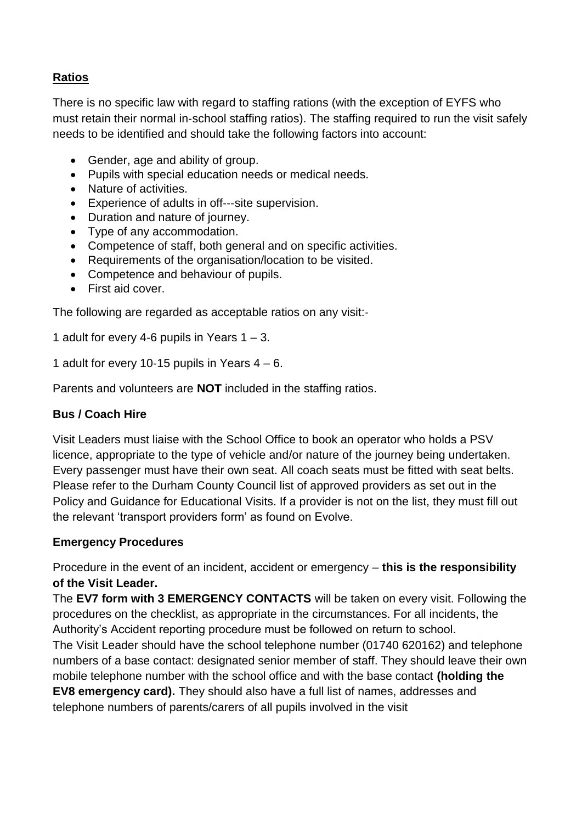#### **Ratios**

There is no specific law with regard to staffing rations (with the exception of EYFS who must retain their normal in‐school staffing ratios). The staffing required to run the visit safely needs to be identified and should take the following factors into account:

- Gender, age and ability of group.
- Pupils with special education needs or medical needs.
- Nature of activities.
- Experience of adults in off‐‐‐site supervision.
- Duration and nature of journey.
- Type of any accommodation.
- Competence of staff, both general and on specific activities.
- Requirements of the organisation/location to be visited.
- Competence and behaviour of pupils.
- First aid cover.

The following are regarded as acceptable ratios on any visit:‐

1 adult for every 4-6 pupils in Years  $1 - 3$ .

1 adult for every 10-15 pupils in Years  $4 - 6$ .

Parents and volunteers are **NOT** included in the staffing ratios.

#### **Bus / Coach Hire**

Visit Leaders must liaise with the School Office to book an operator who holds a PSV licence, appropriate to the type of vehicle and/or nature of the journey being undertaken. Every passenger must have their own seat. All coach seats must be fitted with seat belts. Please refer to the Durham County Council list of approved providers as set out in the Policy and Guidance for Educational Visits. If a provider is not on the list, they must fill out the relevant 'transport providers form' as found on Evolve.

#### **Emergency Procedures**

Procedure in the event of an incident, accident or emergency – **this is the responsibility of the Visit Leader.** 

The **EV7 form with 3 EMERGENCY CONTACTS** will be taken on every visit. Following the procedures on the checklist, as appropriate in the circumstances. For all incidents, the Authority's Accident reporting procedure must be followed on return to school.

The Visit Leader should have the school telephone number (01740 620162) and telephone numbers of a base contact: designated senior member of staff. They should leave their own mobile telephone number with the school office and with the base contact **(holding the** 

**EV8 emergency card).** They should also have a full list of names, addresses and telephone numbers of parents/carers of all pupils involved in the visit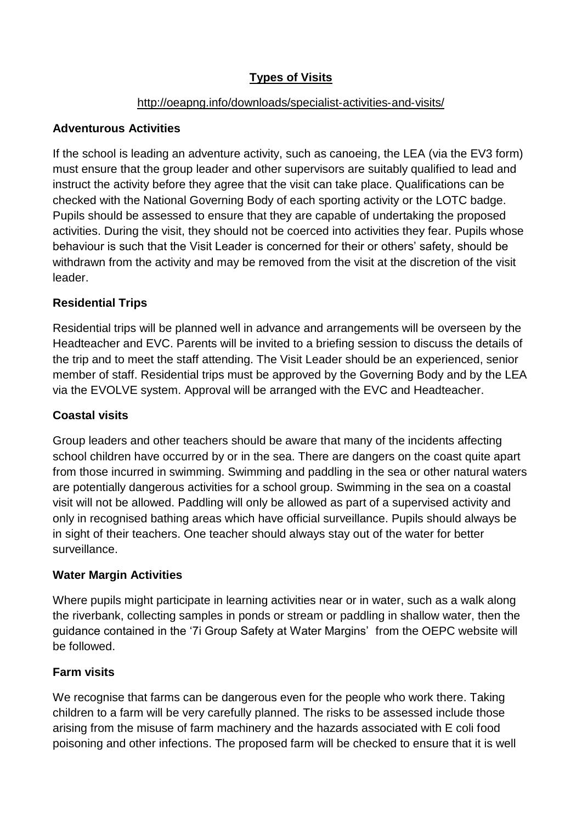#### **Types of Visits**

#### [http://oeapng.info/downloads/specialist](http://oeapng.info/downloads/specialist‐activities‐and‐visits/)-activities-and-visits/

#### **Adventurous Activities**

If the school is leading an adventure activity, such as canoeing, the LEA (via the EV3 form) must ensure that the group leader and other supervisors are suitably qualified to lead and instruct the activity before they agree that the visit can take place. Qualifications can be checked with the National Governing Body of each sporting activity or the LOTC badge. Pupils should be assessed to ensure that they are capable of undertaking the proposed activities. During the visit, they should not be coerced into activities they fear. Pupils whose behaviour is such that the Visit Leader is concerned for their or others' safety, should be withdrawn from the activity and may be removed from the visit at the discretion of the visit leader.

#### **Residential Trips**

Residential trips will be planned well in advance and arrangements will be overseen by the Headteacher and EVC. Parents will be invited to a briefing session to discuss the details of the trip and to meet the staff attending. The Visit Leader should be an experienced, senior member of staff. Residential trips must be approved by the Governing Body and by the LEA via the EVOLVE system. Approval will be arranged with the EVC and Headteacher.

#### **Coastal visits**

Group leaders and other teachers should be aware that many of the incidents affecting school children have occurred by or in the sea. There are dangers on the coast quite apart from those incurred in swimming. Swimming and paddling in the sea or other natural waters are potentially dangerous activities for a school group. Swimming in the sea on a coastal visit will not be allowed. Paddling will only be allowed as part of a supervised activity and only in recognised bathing areas which have official surveillance. Pupils should always be in sight of their teachers. One teacher should always stay out of the water for better surveillance.

#### **Water Margin Activities**

Where pupils might participate in learning activities near or in water, such as a walk along the riverbank, collecting samples in ponds or stream or paddling in shallow water, then the guidance contained in the '7i Group Safety at Water Margins' from the OEPC website will be followed.

#### **Farm visits**

We recognise that farms can be dangerous even for the people who work there. Taking children to a farm will be very carefully planned. The risks to be assessed include those arising from the misuse of farm machinery and the hazards associated with E coli food poisoning and other infections. The proposed farm will be checked to ensure that it is well